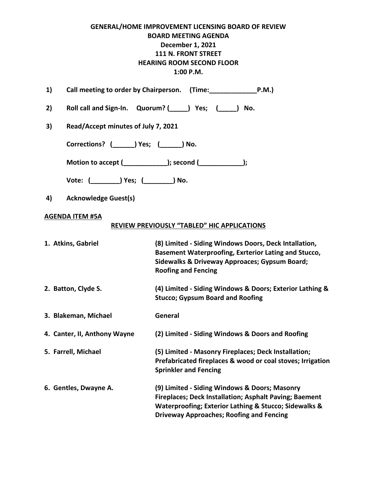## **GENERAL/HOME IMPROVEMENT LICENSING BOARD OF REVIEW BOARD MEETING AGENDA December 1, 2021 111 N. FRONT STREET HEARING ROOM SECOND FLOOR 1:00 P.M.**

| 1)                                                      | Call meeting to order by Chairperson. (Time: P.M.)                                                                                                                                                                         |  |  |  |
|---------------------------------------------------------|----------------------------------------------------------------------------------------------------------------------------------------------------------------------------------------------------------------------------|--|--|--|
| 2)                                                      | Roll call and Sign-In. Quorum? (Supply Pes; (Supply No.                                                                                                                                                                    |  |  |  |
| 3)                                                      | Read/Accept minutes of July 7, 2021                                                                                                                                                                                        |  |  |  |
| Corrections? ( ) Yes; ( ) No.                           |                                                                                                                                                                                                                            |  |  |  |
| Motion to accept (____________); second (____________); |                                                                                                                                                                                                                            |  |  |  |
|                                                         |                                                                                                                                                                                                                            |  |  |  |
| <b>Acknowledge Guest(s)</b><br>4)                       |                                                                                                                                                                                                                            |  |  |  |
| <b>AGENDA ITEM #5A</b>                                  |                                                                                                                                                                                                                            |  |  |  |
|                                                         | REVIEW PREVIOUSLY "TABLED" HIC APPLICATIONS                                                                                                                                                                                |  |  |  |
| 1. Atkins, Gabriel                                      | (8) Limited - Siding Windows Doors, Deck Intallation,<br>Basement Waterproofing, Exrterior Lating and Stucco,<br>Sidewalks & Driveway Approaces; Gypsum Board;<br><b>Roofing and Fencing</b>                               |  |  |  |
| 2. Batton, Clyde S.                                     | (4) Limited - Siding Windows & Doors; Exterior Lathing &<br><b>Stucco; Gypsum Board and Roofing</b>                                                                                                                        |  |  |  |
| 3. Blakeman, Michael                                    | General                                                                                                                                                                                                                    |  |  |  |
| 4. Canter, II, Anthony Wayne                            | (2) Limited - Siding Windows & Doors and Roofing                                                                                                                                                                           |  |  |  |
| 5. Farrell, Michael                                     | (5) Limited - Masonry Fireplaces; Deck Installation;<br>Prefabricated fireplaces & wood or coal stoves; Irrigation<br><b>Sprinkler and Fencing</b>                                                                         |  |  |  |
| 6. Gentles, Dwayne A.                                   | (9) Limited - Siding Windows & Doors; Masonry<br><b>Fireplaces; Deck Installation; Asphalt Paving; Baement</b><br>Waterproofing; Exterior Lathing & Stucco; Sidewalks &<br><b>Driveway Approaches; Roofing and Fencing</b> |  |  |  |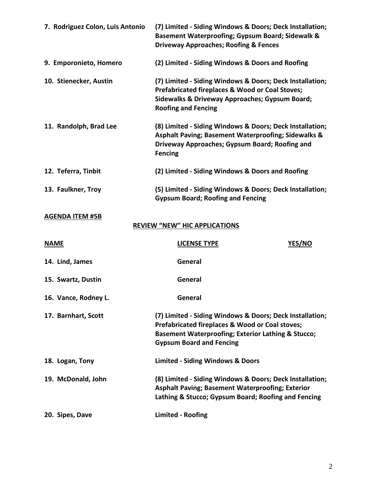| 7. Rodriguez Colon, Luis Antonio                               | (7) Limited - Siding Windows & Doors; Deck Installation;<br>Basement Waterproofing; Gypsum Board; Sidewalk &<br><b>Driveway Approaches; Roofing &amp; Fences</b>                                                |  |  |  |
|----------------------------------------------------------------|-----------------------------------------------------------------------------------------------------------------------------------------------------------------------------------------------------------------|--|--|--|
| 9. Emporonieto, Homero                                         | (2) Limited - Siding Windows & Doors and Roofing                                                                                                                                                                |  |  |  |
| 10. Stienecker, Austin                                         | (7) Limited - Siding Windows & Doors; Deck Installation;<br>Prefabricated fireplaces & Wood or Coal Stoves;<br>Sidewalks & Driveway Approaches; Gypsum Board;<br><b>Roofing and Fencing</b>                     |  |  |  |
| 11. Randolph, Brad Lee                                         | (8) Limited - Siding Windows & Doors; Deck Installation;<br><b>Asphalt Paving; Basement Waterproofing; Sidewalks &amp;</b><br>Driveway Approaches; Gypsum Board; Roofing and<br><b>Fencing</b>                  |  |  |  |
| 12. Teferra, Tinbit                                            | (2) Limited - Siding Windows & Doors and Roofing                                                                                                                                                                |  |  |  |
| 13. Faulkner, Troy                                             | (5) Limited - Siding Windows & Doors; Deck Installation;<br><b>Gypsum Board; Roofing and Fencing</b>                                                                                                            |  |  |  |
| <b>AGENDA ITEM #5B</b><br><b>REVIEW "NEW" HIC APPLICATIONS</b> |                                                                                                                                                                                                                 |  |  |  |
| <b>NAME</b>                                                    | YES/NO<br><b>LICENSE TYPE</b>                                                                                                                                                                                   |  |  |  |
| 14. Lind, James                                                | General                                                                                                                                                                                                         |  |  |  |
| 15. Swartz, Dustin                                             | General                                                                                                                                                                                                         |  |  |  |
| 16. Vance, Rodney L.                                           | General                                                                                                                                                                                                         |  |  |  |
| 17. Barnhart, Scott                                            | (7) Limited - Siding Windows & Doors; Deck Installation;<br>Prefabricated fireplaces & Wood or Coal stoves;<br><b>Basement Waterproofing; Exterior Lathing &amp; Stucco;</b><br><b>Gypsum Board and Fencing</b> |  |  |  |
| 18. Logan, Tony                                                | <b>Limited - Siding Windows &amp; Doors</b>                                                                                                                                                                     |  |  |  |
| 19. McDonald, John                                             | (8) Limited - Siding Windows & Doors; Deck Installation;<br><b>Asphalt Paving; Basement Waterproofing; Exterior</b><br>Lathing & Stucco; Gypsum Board; Roofing and Fencing                                      |  |  |  |
| 20. Sipes, Dave                                                | <b>Limited - Roofing</b>                                                                                                                                                                                        |  |  |  |